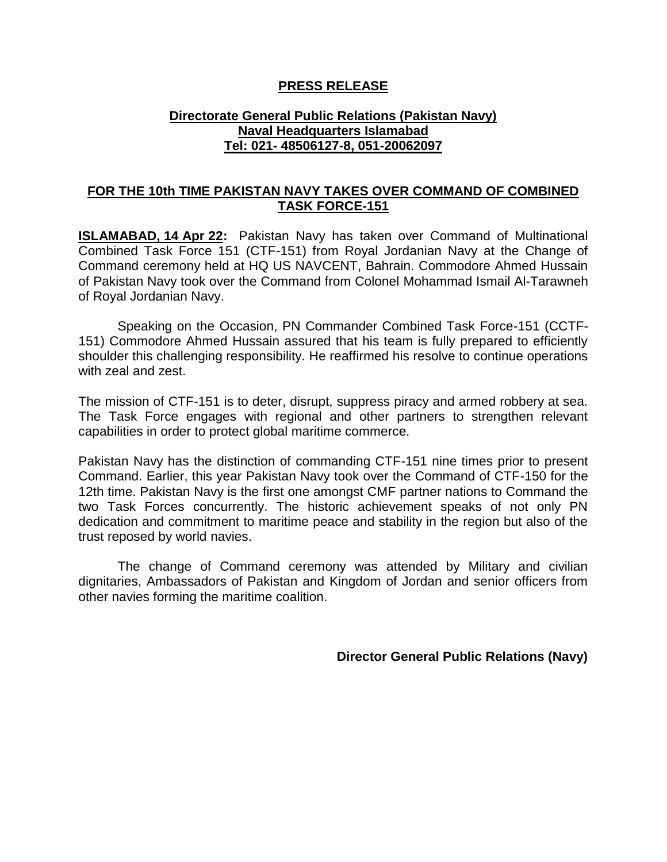## **PRESS RELEASE**

## **Directorate General Public Relations (Pakistan Navy) Naval Headquarters Islamabad Tel: 021- 48506127-8, 051-20062097**

## **FOR THE 10th TIME PAKISTAN NAVY TAKES OVER COMMAND OF COMBINED TASK FORCE-151**

**ISLAMABAD, 14 Apr 22:** Pakistan Navy has taken over Command of Multinational Combined Task Force 151 (CTF-151) from Royal Jordanian Navy at the Change of Command ceremony held at HQ US NAVCENT, Bahrain. Commodore Ahmed Hussain of Pakistan Navy took over the Command from Colonel Mohammad Ismail Al-Tarawneh of Royal Jordanian Navy.

Speaking on the Occasion, PN Commander Combined Task Force-151 (CCTF-151) Commodore Ahmed Hussain assured that his team is fully prepared to efficiently shoulder this challenging responsibility. He reaffirmed his resolve to continue operations with zeal and zest.

The mission of CTF-151 is to deter, disrupt, suppress piracy and armed robbery at sea. The Task Force engages with regional and other partners to strengthen relevant capabilities in order to protect global maritime commerce.

Pakistan Navy has the distinction of commanding CTF-151 nine times prior to present Command. Earlier, this year Pakistan Navy took over the Command of CTF-150 for the 12th time. Pakistan Navy is the first one amongst CMF partner nations to Command the two Task Forces concurrently. The historic achievement speaks of not only PN dedication and commitment to maritime peace and stability in the region but also of the trust reposed by world navies.

The change of Command ceremony was attended by Military and civilian dignitaries, Ambassadors of Pakistan and Kingdom of Jordan and senior officers from other navies forming the maritime coalition.

**Director General Public Relations (Navy)**